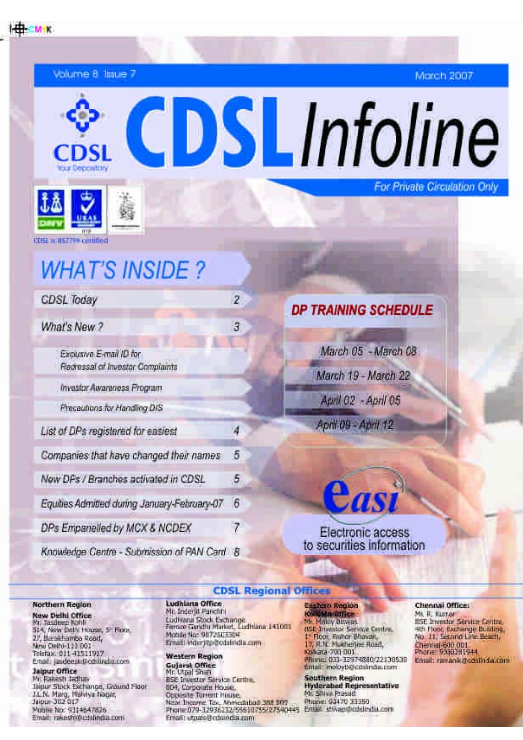CMIK

Volume 8 Issue 7

**March 2007** 

CDSLInfoline **For Private Circulation Only** 



**CIES MISSION certified** 

# **WHAT'S INSIDE?**

| <b>CDSL Today</b>                                          | $\overline{z}$   |  |
|------------------------------------------------------------|------------------|--|
| What's New ?                                               | $\mathbf{3}$     |  |
| Exclusive E-mail ID for<br>Redmssal of Investor Complaints |                  |  |
| Investor Awareness Program                                 |                  |  |
| Precautions for Handling DIS                               |                  |  |
| List of DPs registered for easiest                         | $\boldsymbol{A}$ |  |
| Companies that have changed their names                    | 5                |  |
| New DPs / Branches activated in CDSL                       | $\sqrt{2}$       |  |
| Equities Admitted during January-February-07               | 6                |  |
| DPs Empanelled by MCX & NCDEX                              |                  |  |
|                                                            |                  |  |

Knowledge Centre - Submission of PAN Card B

| March 05 - March 08 |
|---------------------|
| March 19 - March 22 |
| April 02 - April 05 |
| April 09 - April 12 |

### Electronic access to securities information

Cast

#### **CDSL Regional Offices**

#### Northern Region

**New Delhi Office** Mr. Tasdeep Kahli 514, New Dall's House, 5" Floor, 27, Barakhamba Road, New Dethi-110 001 Telefax: 011-41511917 Drail: jaideejikibobilindia.com

Jaipur Office Mr. Rakesh Jadhaw Jaipur Stock Exchange, Ground Floor J.L.N. Marg, Malviya Nagar. Jaipur-302 017 Mobile No: 9314647826 Email: rakeshidrodshedia.com

Ludhiana Office Mr. Inder it Fanchhi Ludivana Stock Exchange<br>Ferore Gandhi Market, Ludhiana 141001 Mobile No: 9872503304 Email: inder improdutindia.com

### **Western Region** Gujarst Office<br>Mr. Utpal Shah

**BSE Investor Service Certro.** 804, Corporate House, Opposite Torrent House, Near Tricorne Tax, Ahmedabad-Jall DOP Phone:079-32936232/55610755/27540445 Email: utpais@cdstndia.com

### Earthern Avaion **Iosilesta callice**<br>Mr. Maley Ulayas **BSE Intestor Serioue Centre** I<sup>v</sup> Floor, Krimar Bhavan,<br>17, R.N. Muitherjie: Road,

Collista 700 001 Phone: 033-12974880/22130538 Email: moloyb@cdulindia.com

**Southern Region Hyderabad Representative** Mr. Shive Prasad Phone: 93470 33350<br>Email: shiyas@cdslindla.com

#### Chennal Office:

Mt. R. Kumar **ISE Investor Service Centre.** sti Floor, Exchange Building,<br>No. 11, Second Line Beach, Chemal 600 001<br>Phone 9380281944 Email: ramanavadalladia.com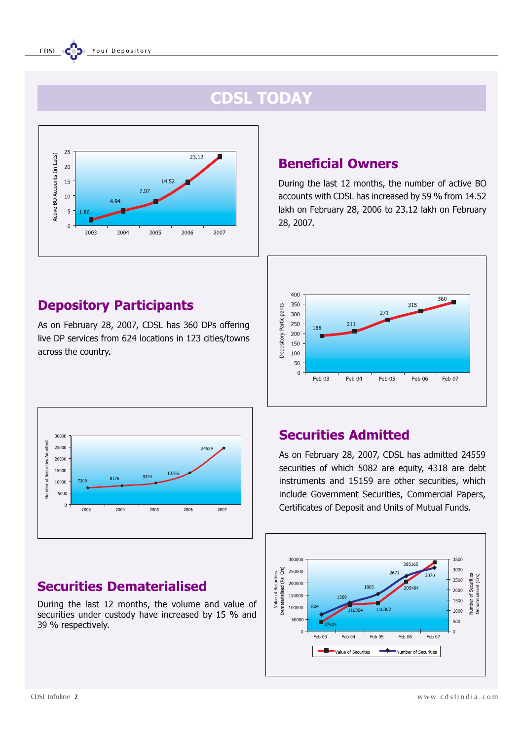## CDSL TODAY



## Depository Participants

As on February 28, 2007, CDSL has 360 DPs offering live DP services from 624 locations in 123 cities/towns across the country.



## Securities Dematerialised

During the last 12 months, the volume and value of securities under custody have increased by 15 % and 39 % respectively.

### Beneficial Owners

During the last 12 months, the number of active BO accounts with CDSL has increased by 59 % from 14.52 lakh on February 28, 2006 to 23.12 lakh on February 28, 2007.



## Securities Admitted

As on February 28, 2007, CDSL has admitted 24559 securities of which 5082 are equity, 4318 are debt instruments and 15159 are other securities, which include Government Securities, Commercial Papers, Certificates of Deposit and Units of Mutual Funds.

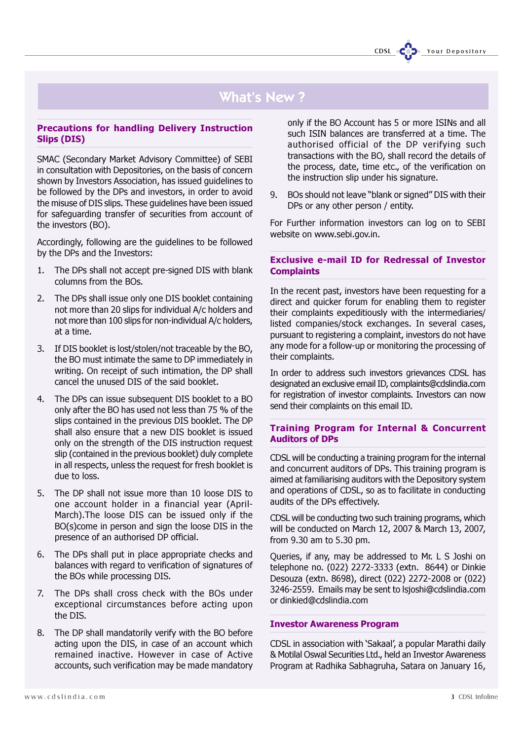## What's New ?

#### Precautions for handling Delivery Instruction Slips (DIS)

SMAC (Secondary Market Advisory Committee) of SEBI in consultation with Depositories, on the basis of concern shown by Investors Association, has issued guidelines to be followed by the DPs and investors, in order to avoid the misuse of DIS slips. These guidelines have been issued for safeguarding transfer of securities from account of the investors (BO).

Accordingly, following are the guidelines to be followed by the DPs and the Investors:

- 1. The DPs shall not accept pre-signed DIS with blank columns from the BOs.
- 2. The DPs shall issue only one DIS booklet containing not more than 20 slips for individual A/c holders and not more than 100 slips for non-individual A/c holders, at a time.
- 3. If DIS booklet is lost/stolen/not traceable by the BO, the BO must intimate the same to DP immediately in writing. On receipt of such intimation, the DP shall cancel the unused DIS of the said booklet.
- 4. The DPs can issue subsequent DIS booklet to a BO only after the BO has used not less than 75 % of the slips contained in the previous DIS booklet. The DP shall also ensure that a new DIS booklet is issued only on the strength of the DIS instruction request slip (contained in the previous booklet) duly complete in all respects, unless the request for fresh booklet is due to loss.
- 5. The DP shall not issue more than 10 loose DIS to one account holder in a financial year (April-March).The loose DIS can be issued only if the BO(s)come in person and sign the loose DIS in the presence of an authorised DP official.
- 6. The DPs shall put in place appropriate checks and balances with regard to verification of signatures of the BOs while processing DIS.
- 7. The DPs shall cross check with the BOs under exceptional circumstances before acting upon the DIS.
- 8. The DP shall mandatorily verify with the BO before acting upon the DIS, in case of an account which remained inactive. However in case of Active accounts, such verification may be made mandatory

only if the BO Account has 5 or more ISINs and all such ISIN balances are transferred at a time. The authorised official of the DP verifying such transactions with the BO, shall record the details of the process, date, time etc., of the verification on the instruction slip under his signature.

9. BOs should not leave "blank or signed" DIS with their DPs or any other person / entity.

For Further information investors can log on to SEBI website on www.sebi.gov.in.

#### Exclusive e-mail ID for Redressal of Investor **Complaints**

In the recent past, investors have been requesting for a direct and quicker forum for enabling them to register their complaints expeditiously with the intermediaries/ listed companies/stock exchanges. In several cases, pursuant to registering a complaint, investors do not have any mode for a follow-up or monitoring the processing of their complaints.

In order to address such investors grievances CDSL has designated an exclusive email ID, complaints@cdslindia.com for registration of investor complaints. Investors can now send their complaints on this email ID.

#### Training Program for Internal & Concurrent Auditors of DPs

CDSL will be conducting a training program for the internal and concurrent auditors of DPs. This training program is aimed at familiarising auditors with the Depository system and operations of CDSL, so as to facilitate in conducting audits of the DPs effectively.

CDSL will be conducting two such training programs, which will be conducted on March 12, 2007 & March 13, 2007, from 9.30 am to 5.30 pm.

Queries, if any, may be addressed to Mr. L S Joshi on telephone no. (022) 2272-3333 (extn. 8644) or Dinkie Desouza (extn. 8698), direct (022) 2272-2008 or (022) 3246-2559. Emails may be sent to lsjoshi@cdslindia.com or dinkied@cdslindia.com

#### Investor Awareness Program

CDSL in association with 'Sakaal', a popular Marathi daily & Motilal Oswal Securities Ltd., held an Investor Awareness Program at Radhika Sabhagruha, Satara on January 16,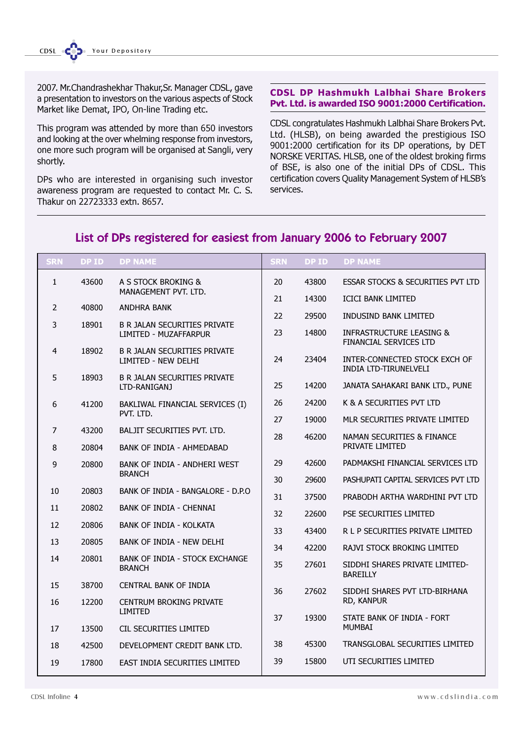2007. Mr.Chandrashekhar Thakur,Sr. Manager CDSL, gave a presentation to investors on the various aspects of Stock Market like Demat, IPO, On-line Trading etc.

This program was attended by more than 650 investors and looking at the over whelming response from investors, one more such program will be organised at Sangli, very shortly.

DPs who are interested in organising such investor awareness program are requested to contact Mr. C. S. Thakur on 22723333 extn. 8657.

#### CDSL DP Hashmukh Lalbhai Share Brokers Pvt. Ltd. is awarded ISO 9001:2000 Certification.

CDSL congratulates Hashmukh Lalbhai Share Brokers Pvt. Ltd. (HLSB), on being awarded the prestigious ISO 9001:2000 certification for its DP operations, by DET NORSKE VERITAS. HLSB, one of the oldest broking firms of BSE, is also one of the initial DPs of CDSL. This certification covers Quality Management System of HLSB's services.

#### 1 43600 A S STOCK BROKING & MANAGEMENT PVT. LTD. 2 40800 ANDHRA BANK 3 18901 B R JALAN SECURITIES PRIVATE LIMITED - MUZAFFARPUR 4 18902 B R JALAN SECURITIES PRIVATE LIMITED - NEW DELHI 5 18903 B R JALAN SECURITIES PRIVATE LTD-RANIGANJ 6 41200 BAKLIWAL FINANCIAL SERVICES (I) PVT. ITD. 7 43200 BALJIT SECURITIES PVT. LTD. 8 20804 BANK OF INDIA - AHMEDABAD 9 20800 BANK OF INDIA - ANDHERI WEST BRANCH 10 20803 BANK OF INDIA - BANGALORE - D.P.O 11 20802 BANK OF INDIA - CHENNAI 12 20806 BANK OF INDIA - KOLKATA 13 20805 BANK OF INDIA - NEW DELHI 14 20801 BANK OF INDIA - STOCK EXCHANGE **BRANCH** 15 38700 CENTRAL BANK OF INDIA 16 12200 CENTRUM BROKING PRIVATE LIMITED 17 13500 CIL SECURITIES LIMITED 18 42500 DEVELOPMENT CREDIT BANK LTD. 19 17800 EAST INDIA SECURITIES LIMITED 20 43800 ESSAR STOCKS & SECURITIES PVT LTD 21 14300 ICICI BANK LIMITED 22 29500 INDUSIND BANK LIMITED 23 14800 INFRASTRUCTURE LEASING & FINANCIAL SERVICES LTD 24 23404 INTER-CONNECTED STOCK EXCH OF INDIA LTD-TIRUNELVELI 25 14200 JANATA SAHAKARI BANK LTD., PUNE 26 24200 K & A SECURITIES PVT LTD 27 19000 MLR SECURITIES PRIVATE LIMITED 28 46200 NAMAN SECURITIES & FINANCE PRIVATE LIMITED 29 42600 PADMAKSHI FINANCIAL SERVICES LTD 30 29600 PASHUPATI CAPITAL SERVICES PVT LTD 31 37500 PRABODH ARTHA WARDHINI PVT LTD 32 22600 PSE SECURITIES LIMITED 33 43400 R L P SECURITIES PRIVATE LIMITED 34 42200 RAJVI STOCK BROKING LIMITED 35 27601 SIDDHI SHARES PRIVATE LIMITED-BAREILLY 36 27602 SIDDHI SHARES PVT LTD-BIRHANA RD, KANPUR 37 19300 STATE BANK OF INDIA - FORT **MUMBAI** 38 45300 TRANSGLOBAL SECURITIES LIMITED 39 15800 UTI SECURITIES LIMITED DP ID DP NAME SRN DP ID DP NAME

### List of DPs registered for easiest from January 2006 to February 2007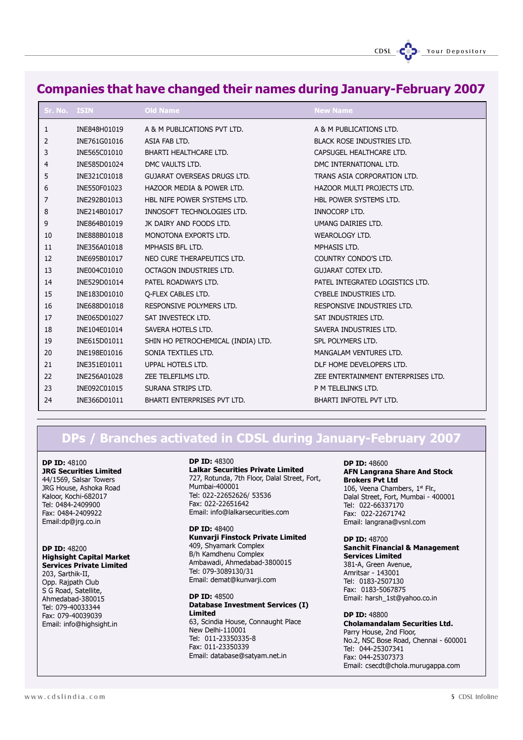### Companies that have changed their names during January-February 2007

| Sr. No. ISIN |              | <b>Old Name</b>                    | <b>New Name</b>                    |
|--------------|--------------|------------------------------------|------------------------------------|
| 1            | INE848H01019 | A & M PUBLICATIONS PVT LTD.        | A & M PUBLICATIONS LTD.            |
| 2            | INE761G01016 | ASIA FAB LTD.                      | <b>BLACK ROSE INDUSTRIES LTD.</b>  |
| 3            | INE565C01010 | BHARTI HEALTHCARE LTD.             | CAPSUGEL HEALTHCARE LTD.           |
| 4            | INE585D01024 | DMC VAULTS LTD.                    | DMC INTERNATIONAL LTD.             |
| 5            | INE321C01018 | <b>GUJARAT OVERSEAS DRUGS LTD.</b> | TRANS ASIA CORPORATION LTD.        |
| 6            | INE550F01023 | HAZOOR MEDIA & POWER LTD.          | HAZOOR MULTI PROJECTS LTD.         |
| 7            | INE292B01013 | HBL NIFE POWER SYSTEMS LTD.        | HBL POWER SYSTEMS LTD.             |
| 8            | INE214B01017 | INNOSOFT TECHNOLOGIES LTD.         | <b>INNOCORP LTD.</b>               |
| 9            | INE864B01019 | JK DAIRY AND FOODS LTD.            | UMANG DAIRIES LTD.                 |
| 10           | INE888B01018 | MONOTONA EXPORTS LTD.              | WEAROLOGY LTD.                     |
| 11           | INE356A01018 | MPHASIS BFL LTD.                   | MPHASIS LTD.                       |
| 12           | INE695B01017 | NEO CURE THERAPEUTICS LTD.         | COUNTRY CONDO'S LTD.               |
| 13           | INE004C01010 | OCTAGON INDUSTRIES LTD.            | <b>GUJARAT COTEX LTD.</b>          |
| 14           | INE529D01014 | PATEL ROADWAYS LTD.                | PATEL INTEGRATED LOGISTICS LTD.    |
| 15           | INE183D01010 | O-FLEX CABLES LTD.                 | CYBELE INDUSTRIES LTD.             |
| 16           | INE688D01018 | RESPONSIVE POLYMERS LTD.           | RESPONSIVE INDUSTRIES LTD.         |
| 17           | INE065D01027 | SAT INVESTECK LTD.                 | SAT INDUSTRIES LTD.                |
| 18           | INE104E01014 | SAVERA HOTELS LTD.                 | SAVERA INDUSTRIES LTD.             |
| 19           | INE615D01011 | SHIN HO PETROCHEMICAL (INDIA) LTD. | SPL POLYMERS LTD.                  |
| 20           | INE198E01016 | SONIA TEXTILES LTD.                | MANGALAM VENTURES LTD.             |
| 21           | INE351E01011 | UPPAL HOTELS LTD.                  | DLF HOME DEVELOPERS LTD.           |
| 22           | INE256A01028 | ZEE TELEFILMS LTD.                 | ZEE ENTERTAINMENT ENTERPRISES LTD. |
| 23           | INE092C01015 | SURANA STRIPS LTD.                 | P M TELELINKS LTD.                 |
| 24           | INE366D01011 | BHARTI ENTERPRISES PVT LTD.        | BHARTI INFOTEL PVT LTD.            |

## DPs / Branches activated in CDSL during January-February 2007

DP ID: 48100

JRG Securities Limited 44/1569, Salsar Towers JRG House, Ashoka Road Kaloor, Kochi-682017 Tel: 0484-2409900 Fax: 0484-2409922 Email:dp@jrg.co.in

#### DP ID: 48200 Highsight Capital Market Services Private Limited 203, Sarthik-II, Opp. Rajpath Club S G Road, Satellite, Ahmedabad-380015 Tel: 079-40033344

Fax: 079-40039039 Email: info@highsight.in

#### DP ID: 48300

Lalkar Securities Private Limited 727, Rotunda, 7th Floor, Dalal Street, Fort, Mumbai-400001 Tel: 022-22652626/ 53536 Fax: 022-22651642 Email: info@lalkarsecurities.com

#### DP ID: 48400 Kunvarji Finstock Private Limited 409, Shyamark Complex B/h Kamdhenu Complex

Ambawadi, Ahmedabad-3800015 Tel: 079-3089130/31 Email: demat@kunvarji.com

#### DP ID: 48500 Database Investment Services (I) Limited 63, Scindia House, Connaught Place New Delhi-110001 Tel: 011-23350335-8 Fax: 011-23350339 Email: database@satyam.net.in

DP ID: 48600 AFN Langrana Share And Stock Brokers Pvt Ltd 106, Veena Chambers, 1st Flr., Dalal Street, Fort, Mumbai - 400001 Tel: 022-66337170 Fax: 022-22671742

#### DP ID: 48700 Sanchit Financial & Management Services Limited 381-A, Green Avenue,

Amritsar - 143001 Tel: 0183-2507130 Fax: 0183-5067875 Email: harsh\_1st@yahoo.co.in

Email: langrana@vsnl.com

#### DP ID: 48800 Cholamandalam Securities Ltd. Parry House, 2nd Floor, No.2, NSC Bose Road, Chennai - 600001 Tel: 044-25307341 Fax: 044-25307373 Email: csecdt@chola.murugappa.com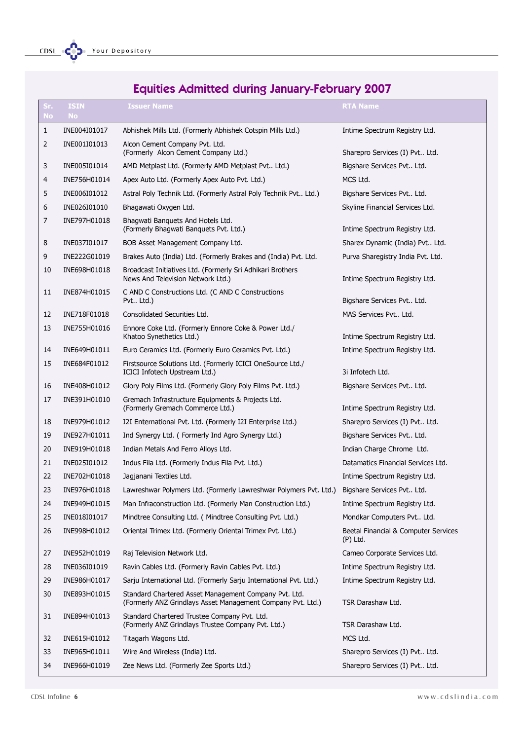## Equities Admitted during January-February 2007

| Sr.<br><b>No</b> | <b>ISIN</b><br><b>No</b> | <b>Issuer Name</b>                                                                                                   | <b>RTA Name</b>                                    |
|------------------|--------------------------|----------------------------------------------------------------------------------------------------------------------|----------------------------------------------------|
| 1                | INE004I01017             | Abhishek Mills Ltd. (Formerly Abhishek Cotspin Mills Ltd.)                                                           | Intime Spectrum Registry Ltd.                      |
| 2                | INE001I01013             | Alcon Cement Company Pvt. Ltd.<br>(Formerly Alcon Cement Company Ltd.)                                               | Sharepro Services (I) Pvt Ltd.                     |
| 3                | INE005I01014             | AMD Metplast Ltd. (Formerly AMD Metplast Pvt Ltd.)                                                                   | Bigshare Services Pvt Ltd.                         |
| 4                | INE756H01014             | Apex Auto Ltd. (Formerly Apex Auto Pvt. Ltd.)                                                                        | MCS Ltd.                                           |
| 5                | INE006I01012             | Astral Poly Technik Ltd. (Formerly Astral Poly Technik Pvt Ltd.)                                                     | Bigshare Services Pvt Ltd.                         |
| 6                | INE026I01010             | Bhagawati Oxygen Ltd.                                                                                                | Skyline Financial Services Ltd.                    |
| 7                | INE797H01018             | Bhagwati Banguets And Hotels Ltd.<br>(Formerly Bhagwati Banquets Pvt. Ltd.)                                          | Intime Spectrum Registry Ltd.                      |
| 8                | INE037I01017             | BOB Asset Management Company Ltd.                                                                                    | Sharex Dynamic (India) Pvt Ltd.                    |
| 9                | INE222G01019             | Brakes Auto (India) Ltd. (Formerly Brakes and (India) Pvt. Ltd.                                                      | Purva Sharegistry India Pvt. Ltd.                  |
| 10               | INE698H01018             | Broadcast Initiatives Ltd. (Formerly Sri Adhikari Brothers<br>News And Television Network Ltd.)                      | Intime Spectrum Registry Ltd.                      |
| 11               | INE874H01015             | C AND C Constructions Ltd. (C AND C Constructions<br>Pvt Ltd.)                                                       | Bigshare Services Pvt Ltd.                         |
| 12               | INE718F01018             | Consolidated Securities Ltd.                                                                                         | MAS Services Pvt Ltd.                              |
| 13               | INE755H01016             | Ennore Coke Ltd. (Formerly Ennore Coke & Power Ltd./<br>Khatoo Synethetics Ltd.)                                     | Intime Spectrum Registry Ltd.                      |
| 14               | INE649H01011             | Euro Ceramics Ltd. (Formerly Euro Ceramics Pvt. Ltd.)                                                                | Intime Spectrum Registry Ltd.                      |
| 15               | INE684F01012             | Firstsource Solutions Ltd. (Formerly ICICI OneSource Ltd./<br>ICICI Infotech Upstream Ltd.)                          | 3i Infotech Ltd.                                   |
| 16               | INE408H01012             | Glory Poly Films Ltd. (Formerly Glory Poly Films Pvt. Ltd.)                                                          | Bigshare Services Pvt Ltd.                         |
| 17               | INE391H01010             | Gremach Infrastructure Equipments & Projects Ltd.<br>(Formerly Gremach Commerce Ltd.)                                | Intime Spectrum Registry Ltd.                      |
| 18               | INE979H01012             | I2I Enternational Pvt. Ltd. (Formerly I2I Enterprise Ltd.)                                                           | Sharepro Services (I) Pvt Ltd.                     |
| 19               | INE927H01011             | Ind Synergy Ltd. ( Formerly Ind Agro Synergy Ltd.)                                                                   | Bigshare Services Pvt Ltd.                         |
| 20               | INE919H01018             | Indian Metals And Ferro Alloys Ltd.                                                                                  | Indian Charge Chrome Ltd.                          |
| 21               | INE025I01012             | Indus Fila Ltd. (Formerly Indus Fila Pvt. Ltd.)                                                                      | Datamatics Financial Services Ltd.                 |
| 22               | INE702H01018             | Jagjanani Textiles Ltd.                                                                                              | Intime Spectrum Registry Ltd.                      |
| 23               | INE976H01018             | Lawreshwar Polymers Ltd. (Formerly Lawreshwar Polymers Pvt. Ltd.)                                                    | Bigshare Services Pvt Ltd.                         |
| 24               | INE949H01015             | Man Infraconstruction Ltd. (Formerly Man Construction Ltd.)                                                          | Intime Spectrum Registry Ltd.                      |
| 25               | INE018I01017             | Mindtree Consulting Ltd. (Mindtree Consulting Pvt. Ltd.)                                                             | Mondkar Computers Pvt Ltd.                         |
| 26               | INE998H01012             | Oriental Trimex Ltd. (Formerly Oriental Trimex Pvt. Ltd.)                                                            | Beetal Financial & Computer Services<br>$(P)$ Ltd. |
| 27               | INE952H01019             | Raj Television Network Ltd.                                                                                          | Cameo Corporate Services Ltd.                      |
| 28               | INE036I01019             | Ravin Cables Ltd. (Formerly Ravin Cables Pvt. Ltd.)                                                                  | Intime Spectrum Registry Ltd.                      |
| 29               | INE986H01017             | Sarju International Ltd. (Formerly Sarju International Pvt. Ltd.)                                                    | Intime Spectrum Registry Ltd.                      |
| 30               | INE893H01015             | Standard Chartered Asset Management Company Pvt. Ltd.<br>(Formerly ANZ Grindlays Asset Management Company Pvt. Ltd.) | TSR Darashaw Ltd.                                  |
| 31               | INE894H01013             | Standard Chartered Trustee Company Pvt. Ltd.<br>(Formerly ANZ Grindlays Trustee Company Pvt. Ltd.)                   | TSR Darashaw Ltd.                                  |
| 32               | INE615H01012             | Titagarh Wagons Ltd.                                                                                                 | MCS Ltd.                                           |
| 33               | INE965H01011             | Wire And Wireless (India) Ltd.                                                                                       | Sharepro Services (I) Pvt Ltd.                     |
| 34               | INE966H01019             | Zee News Ltd. (Formerly Zee Sports Ltd.)                                                                             | Sharepro Services (I) Pvt Ltd.                     |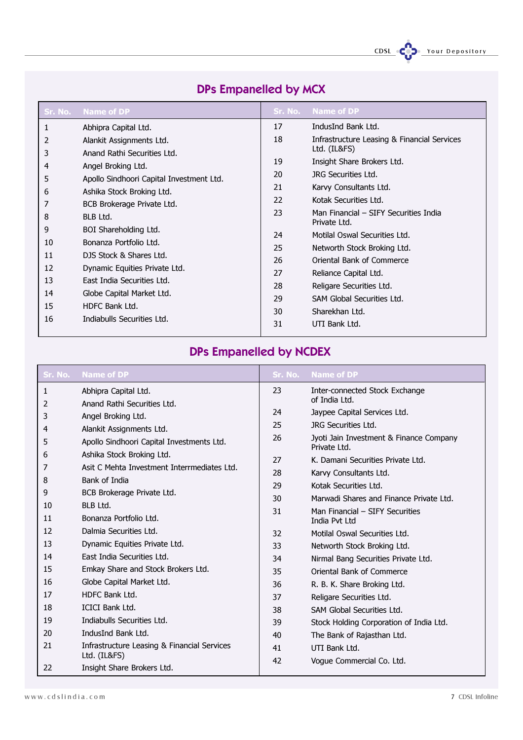CDSL COD. Your Depository

| Sr. No. | <b>Name of DP</b>                        | Sr. No. | <b>Name of DP</b>                                     |
|---------|------------------------------------------|---------|-------------------------------------------------------|
| 1       | Abhipra Capital Ltd.                     | 17      | IndusInd Bank Ltd.                                    |
| 2       | Alankit Assignments Ltd.                 | 18      | Infrastructure Leasing & Financial Services           |
| 3       | Anand Rathi Securities Ltd.              |         | Ltd. (IL&FS)                                          |
| 4       | Angel Broking Ltd.                       | 19      | Insight Share Brokers Ltd.                            |
| 5       | Apollo Sindhoori Capital Investment Ltd. | 20      | JRG Securities Ltd.                                   |
| 6       | Ashika Stock Broking Ltd.                | 21      | Karvy Consultants Ltd.                                |
|         | BCB Brokerage Private Ltd.               | 22      | Kotak Securities Ltd.                                 |
| 8       | BLB Ltd.                                 | 23      | Man Financial – SIFY Securities India<br>Private Ltd. |
| 9       | BOI Shareholding Ltd.                    | 24      | Motilal Oswal Securities Ltd.                         |
| 10      | Bonanza Portfolio Ltd.                   | 25      | Networth Stock Broking Ltd.                           |
| 11      | DJS Stock & Shares Ltd.                  | 26      | Oriental Bank of Commerce                             |
| 12      | Dynamic Equities Private Ltd.            | 27      | Reliance Capital Ltd.                                 |
| 13      | East India Securities Ltd.               | 28      | Religare Securities Ltd.                              |
| 14      | Globe Capital Market Ltd.                | 29      | SAM Global Securities Ltd.                            |
| 15      | HDFC Bank Ltd.                           |         |                                                       |
| 16      | Indiabulls Securities Ltd.               | 30      | Sharekhan Ltd.                                        |
|         |                                          | 31      | UTI Bank Ltd.                                         |

## DPs Empanelled by MCX

## DPs Empanelled by NCDEX

| Sr. No.      | <b>Name of DP</b>                                           | Sr. No.  | <b>Name of DP</b>                                       |
|--------------|-------------------------------------------------------------|----------|---------------------------------------------------------|
| $\mathbf{1}$ | Abhipra Capital Ltd.                                        | 23       | Inter-connected Stock Exchange                          |
| 2            | Anand Rathi Securities Ltd.                                 |          | of India Ltd.                                           |
| 3            | Angel Broking Ltd.                                          | 24       | Jaypee Capital Services Ltd.                            |
| 4            | Alankit Assignments Ltd.                                    | 25       | <b>JRG Securities Ltd.</b>                              |
| 5            | Apollo Sindhoori Capital Investments Ltd.                   | 26       | Jyoti Jain Investment & Finance Company<br>Private Ltd. |
| 6            | Ashika Stock Broking Ltd.                                   | 27       | K. Damani Securities Private Ltd.                       |
| 7            | Asit C Mehta Investment Interrmediates Ltd.                 | 28       | Karvy Consultants Ltd.                                  |
| 8            | <b>Bank of India</b>                                        | 29       | Kotak Securities Ltd.                                   |
| 9            | BCB Brokerage Private Ltd.                                  | 30       | Marwadi Shares and Finance Private Ltd.                 |
| 10           | BLB Ltd.                                                    | 31       | Man Financial - SIFY Securities                         |
| 11           | Bonanza Portfolio Ltd.                                      |          | India Pvt Ltd                                           |
| 12           | Dalmia Securities Ltd.                                      | 32       | Motilal Oswal Securities Ltd.                           |
| 13           | Dynamic Equities Private Ltd.                               | 33       | Networth Stock Broking Ltd.                             |
| 14           | East India Securities Ltd.                                  | 34       | Nirmal Bang Securities Private Ltd.                     |
| 15           | Emkay Share and Stock Brokers Ltd.                          | 35       | Oriental Bank of Commerce                               |
| 16           | Globe Capital Market Ltd.                                   | 36       | R. B. K. Share Broking Ltd.                             |
| 17           | HDFC Bank Ltd.                                              | 37       | Religare Securities Ltd.                                |
| 18           | <b>ICICI Bank Ltd.</b>                                      | 38       | SAM Global Securities Ltd.                              |
| 19           | Indiabulls Securities Ltd.                                  | 39       | Stock Holding Corporation of India Ltd.                 |
| 20           | IndusInd Bank Ltd.                                          | 40       | The Bank of Rajasthan Ltd.                              |
| 21           | Infrastructure Leasing & Financial Services<br>Ltd. (IL&FS) | 41<br>42 | UTI Bank Ltd.<br>Vogue Commercial Co. Ltd.              |
| 22           | Insight Share Brokers Ltd.                                  |          |                                                         |